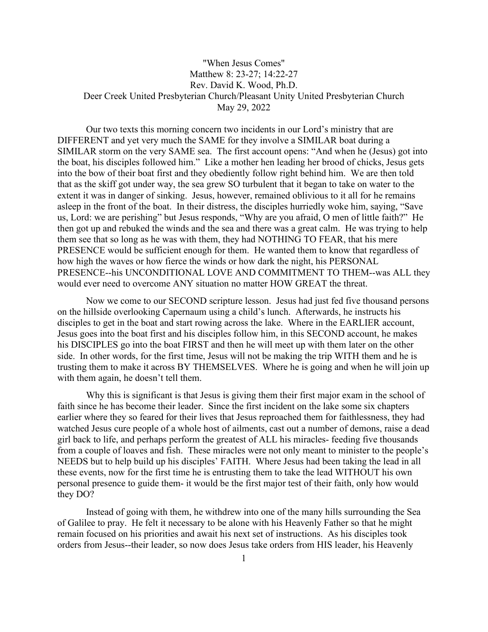## "When Jesus Comes" Matthew 8: 23-27; 14:22-27 Rev. David K. Wood, Ph.D. Deer Creek United Presbyterian Church/Pleasant Unity United Presbyterian Church May 29, 2022

Our two texts this morning concern two incidents in our Lord's ministry that are DIFFERENT and yet very much the SAME for they involve a SIMILAR boat during a SIMILAR storm on the very SAME sea. The first account opens: "And when he (Jesus) got into the boat, his disciples followed him." Like a mother hen leading her brood of chicks, Jesus gets into the bow of their boat first and they obediently follow right behind him. We are then told that as the skiff got under way, the sea grew SO turbulent that it began to take on water to the extent it was in danger of sinking. Jesus, however, remained oblivious to it all for he remains asleep in the front of the boat. In their distress, the disciples hurriedly woke him, saying, "Save us, Lord: we are perishing" but Jesus responds, "Why are you afraid, O men of little faith?" He then got up and rebuked the winds and the sea and there was a great calm. He was trying to help them see that so long as he was with them, they had NOTHING TO FEAR, that his mere PRESENCE would be sufficient enough for them. He wanted them to know that regardless of how high the waves or how fierce the winds or how dark the night, his PERSONAL PRESENCE--his UNCONDITIONAL LOVE AND COMMITMENT TO THEM--was ALL they would ever need to overcome ANY situation no matter HOW GREAT the threat.

Now we come to our SECOND scripture lesson. Jesus had just fed five thousand persons on the hillside overlooking Capernaum using a child's lunch. Afterwards, he instructs his disciples to get in the boat and start rowing across the lake. Where in the EARLIER account, Jesus goes into the boat first and his disciples follow him, in this SECOND account, he makes his DISCIPLES go into the boat FIRST and then he will meet up with them later on the other side. In other words, for the first time, Jesus will not be making the trip WITH them and he is trusting them to make it across BY THEMSELVES. Where he is going and when he will join up with them again, he doesn't tell them.

Why this is significant is that Jesus is giving them their first major exam in the school of faith since he has become their leader. Since the first incident on the lake some six chapters earlier where they so feared for their lives that Jesus reproached them for faithlessness, they had watched Jesus cure people of a whole host of ailments, cast out a number of demons, raise a dead girl back to life, and perhaps perform the greatest of ALL his miracles- feeding five thousands from a couple of loaves and fish. These miracles were not only meant to minister to the people's NEEDS but to help build up his disciples' FAITH. Where Jesus had been taking the lead in all these events, now for the first time he is entrusting them to take the lead WITHOUT his own personal presence to guide them- it would be the first major test of their faith, only how would they DO?

Instead of going with them, he withdrew into one of the many hills surrounding the Sea of Galilee to pray. He felt it necessary to be alone with his Heavenly Father so that he might remain focused on his priorities and await his next set of instructions. As his disciples took orders from Jesus--their leader, so now does Jesus take orders from HIS leader, his Heavenly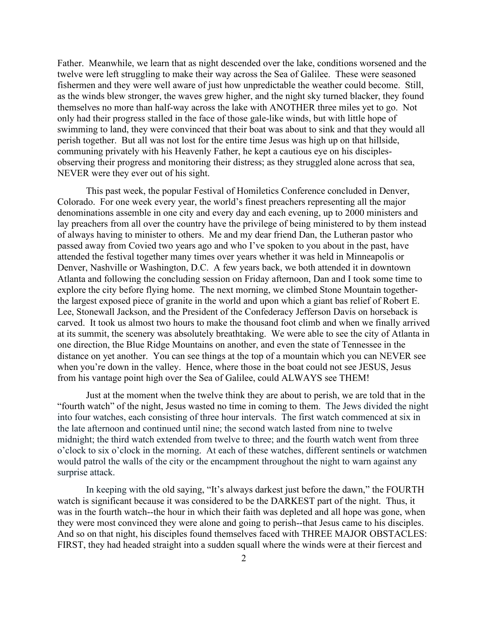Father. Meanwhile, we learn that as night descended over the lake, conditions worsened and the twelve were left struggling to make their way across the Sea of Galilee. These were seasoned fishermen and they were well aware of just how unpredictable the weather could become. Still, as the winds blew stronger, the waves grew higher, and the night sky turned blacker, they found themselves no more than half-way across the lake with ANOTHER three miles yet to go. Not only had their progress stalled in the face of those gale-like winds, but with little hope of swimming to land, they were convinced that their boat was about to sink and that they would all perish together. But all was not lost for the entire time Jesus was high up on that hillside, communing privately with his Heavenly Father, he kept a cautious eye on his disciplesobserving their progress and monitoring their distress; as they struggled alone across that sea, NEVER were they ever out of his sight.

This past week, the popular Festival of Homiletics Conference concluded in Denver, Colorado. For one week every year, the world's finest preachers representing all the major denominations assemble in one city and every day and each evening, up to 2000 ministers and lay preachers from all over the country have the privilege of being ministered to by them instead of always having to minister to others. Me and my dear friend Dan, the Lutheran pastor who passed away from Covied two years ago and who I've spoken to you about in the past, have attended the festival together many times over years whether it was held in Minneapolis or Denver, Nashville or Washington, D.C. A few years back, we both attended it in downtown Atlanta and following the concluding session on Friday afternoon, Dan and I took some time to explore the city before flying home. The next morning, we climbed Stone Mountain togetherthe largest exposed piece of granite in the world and upon which a giant bas relief of Robert E. Lee, Stonewall Jackson, and the President of the Confederacy Jefferson Davis on horseback is carved. It took us almost two hours to make the thousand foot climb and when we finally arrived at its summit, the scenery was absolutely breathtaking. We were able to see the city of Atlanta in one direction, the Blue Ridge Mountains on another, and even the state of Tennessee in the distance on yet another. You can see things at the top of a mountain which you can NEVER see when you're down in the valley. Hence, where those in the boat could not see JESUS, Jesus from his vantage point high over the Sea of Galilee, could ALWAYS see THEM!

Just at the moment when the twelve think they are about to perish, we are told that in the "fourth watch" of the night, Jesus wasted no time in coming to them. The Jews divided the night into four watches, each consisting of three hour intervals. The first watch commenced at six in the late afternoon and continued until nine; the second watch lasted from nine to twelve midnight; the third watch extended from twelve to three; and the fourth watch went from three o'clock to six o'clock in the morning. At each of these watches, different sentinels or watchmen would patrol the walls of the city or the encampment throughout the night to warn against any surprise attack.

In keeping with the old saying, "It's always darkest just before the dawn," the FOURTH watch is significant because it was considered to be the DARKEST part of the night. Thus, it was in the fourth watch--the hour in which their faith was depleted and all hope was gone, when they were most convinced they were alone and going to perish--that Jesus came to his disciples. And so on that night, his disciples found themselves faced with THREE MAJOR OBSTACLES: FIRST, they had headed straight into a sudden squall where the winds were at their fiercest and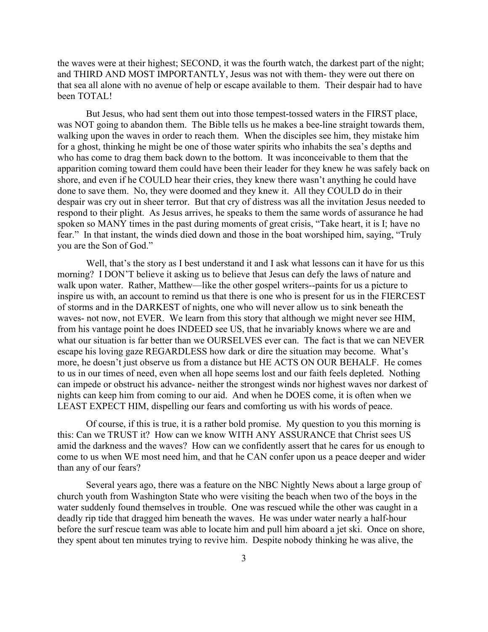the waves were at their highest; SECOND, it was the fourth watch, the darkest part of the night; and THIRD AND MOST IMPORTANTLY, Jesus was not with them- they were out there on that sea all alone with no avenue of help or escape available to them. Their despair had to have been TOTAL!

But Jesus, who had sent them out into those tempest-tossed waters in the FIRST place, was NOT going to abandon them. The Bible tells us he makes a bee-line straight towards them, walking upon the waves in order to reach them. When the disciples see him, they mistake him for a ghost, thinking he might be one of those water spirits who inhabits the sea's depths and who has come to drag them back down to the bottom. It was inconceivable to them that the apparition coming toward them could have been their leader for they knew he was safely back on shore, and even if he COULD hear their cries, they knew there wasn't anything he could have done to save them. No, they were doomed and they knew it. All they COULD do in their despair was cry out in sheer terror. But that cry of distress was all the invitation Jesus needed to respond to their plight. As Jesus arrives, he speaks to them the same words of assurance he had spoken so MANY times in the past during moments of great crisis, "Take heart, it is I; have no fear." In that instant, the winds died down and those in the boat worshiped him, saying, "Truly you are the Son of God."

Well, that's the story as I best understand it and I ask what lessons can it have for us this morning? I DON'T believe it asking us to believe that Jesus can defy the laws of nature and walk upon water. Rather, Matthew—like the other gospel writers--paints for us a picture to inspire us with, an account to remind us that there is one who is present for us in the FIERCEST of storms and in the DARKEST of nights, one who will never allow us to sink beneath the waves- not now, not EVER. We learn from this story that although we might never see HIM, from his vantage point he does INDEED see US, that he invariably knows where we are and what our situation is far better than we OURSELVES ever can. The fact is that we can NEVER escape his loving gaze REGARDLESS how dark or dire the situation may become. What's more, he doesn't just observe us from a distance but HE ACTS ON OUR BEHALF. He comes to us in our times of need, even when all hope seems lost and our faith feels depleted. Nothing can impede or obstruct his advance- neither the strongest winds nor highest waves nor darkest of nights can keep him from coming to our aid. And when he DOES come, it is often when we LEAST EXPECT HIM, dispelling our fears and comforting us with his words of peace.

Of course, if this is true, it is a rather bold promise. My question to you this morning is this: Can we TRUST it? How can we know WITH ANY ASSURANCE that Christ sees US amid the darkness and the waves? How can we confidently assert that he cares for us enough to come to us when WE most need him, and that he CAN confer upon us a peace deeper and wider than any of our fears?

Several years ago, there was a feature on the NBC Nightly News about a large group of church youth from Washington State who were visiting the beach when two of the boys in the water suddenly found themselves in trouble. One was rescued while the other was caught in a deadly rip tide that dragged him beneath the waves. He was under water nearly a half-hour before the surf rescue team was able to locate him and pull him aboard a jet ski. Once on shore, they spent about ten minutes trying to revive him. Despite nobody thinking he was alive, the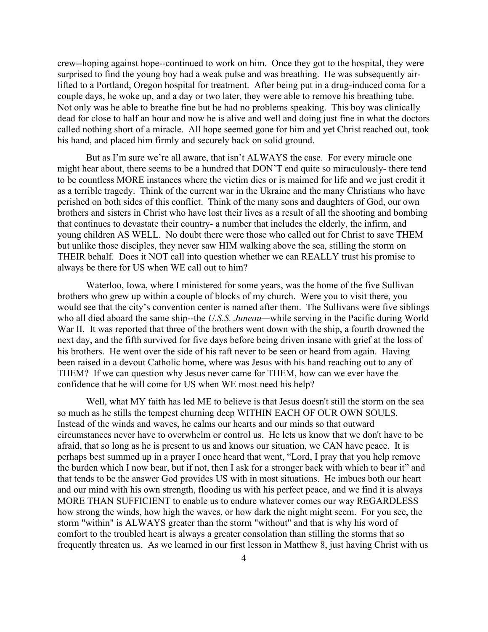crew--hoping against hope--continued to work on him. Once they got to the hospital, they were surprised to find the young boy had a weak pulse and was breathing. He was subsequently airlifted to a Portland, Oregon hospital for treatment. After being put in a drug-induced coma for a couple days, he woke up, and a day or two later, they were able to remove his breathing tube. Not only was he able to breathe fine but he had no problems speaking. This boy was clinically dead for close to half an hour and now he is alive and well and doing just fine in what the doctors called nothing short of a miracle. All hope seemed gone for him and yet Christ reached out, took his hand, and placed him firmly and securely back on solid ground.

But as I'm sure we're all aware, that isn't ALWAYS the case. For every miracle one might hear about, there seems to be a hundred that DON'T end quite so miraculously- there tend to be countless MORE instances where the victim dies or is maimed for life and we just credit it as a terrible tragedy. Think of the current war in the Ukraine and the many Christians who have perished on both sides of this conflict. Think of the many sons and daughters of God, our own brothers and sisters in Christ who have lost their lives as a result of all the shooting and bombing that continues to devastate their country- a number that includes the elderly, the infirm, and young children AS WELL. No doubt there were those who called out for Christ to save THEM but unlike those disciples, they never saw HIM walking above the sea, stilling the storm on THEIR behalf. Does it NOT call into question whether we can REALLY trust his promise to always be there for US when WE call out to him?

Waterloo, Iowa, where I ministered for some years, was the home of the five Sullivan brothers who grew up within a couple of blocks of my church. Were you to visit there, you would see that the city's convention center is named after them. The Sullivans were five siblings who all died aboard the same ship--the *U.S.S. Juneau—*while serving in the Pacific during World War II. It was reported that three of the brothers went down with the ship, a fourth drowned the next day, and the fifth survived for five days before being driven insane with grief at the loss of his brothers. He went over the side of his raft never to be seen or heard from again. Having been raised in a devout Catholic home, where was Jesus with his hand reaching out to any of THEM? If we can question why Jesus never came for THEM, how can we ever have the confidence that he will come for US when WE most need his help?

Well, what MY faith has led ME to believe is that Jesus doesn't still the storm on the sea so much as he stills the tempest churning deep WITHIN EACH OF OUR OWN SOULS. Instead of the winds and waves, he calms our hearts and our minds so that outward circumstances never have to overwhelm or control us. He lets us know that we don't have to be afraid, that so long as he is present to us and knows our situation, we CAN have peace. It is perhaps best summed up in a prayer I once heard that went, "Lord, I pray that you help remove the burden which I now bear, but if not, then I ask for a stronger back with which to bear it" and that tends to be the answer God provides US with in most situations. He imbues both our heart and our mind with his own strength, flooding us with his perfect peace, and we find it is always MORE THAN SUFFICIENT to enable us to endure whatever comes our way REGARDLESS how strong the winds, how high the waves, or how dark the night might seem. For you see, the storm "within" is ALWAYS greater than the storm "without" and that is why his word of comfort to the troubled heart is always a greater consolation than stilling the storms that so frequently threaten us. As we learned in our first lesson in Matthew 8, just having Christ with us